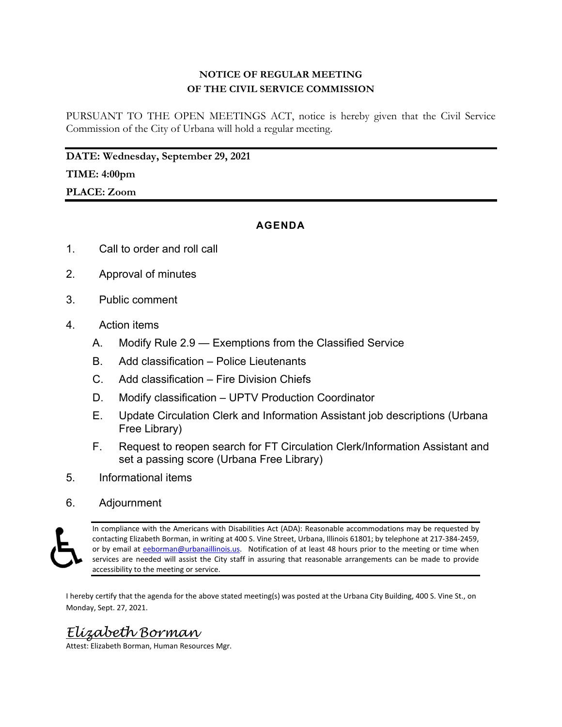# **NOTICE OF REGULAR MEETING OF THE CIVIL SERVICE COMMISSION**

PURSUANT TO THE OPEN MEETINGS ACT, notice is hereby given that the Civil Service Commission of the City of Urbana will hold a regular meeting.

**DATE: Wednesday, September 29, 2021** 

## **TIME: 4:00pm**

**PLACE: Zoom**

## **AGENDA**

- 1. Call to order and roll call
- 2. Approval of minutes
- 3. Public comment
- 4. Action items
	- A. Modify Rule 2.9 Exemptions from the Classified Service
	- B. Add classification Police Lieutenants
	- C. Add classification Fire Division Chiefs
	- D. Modify classification UPTV Production Coordinator
	- E. Update Circulation Clerk and Information Assistant job descriptions (Urbana Free Library)
	- F. Request to reopen search for FT Circulation Clerk/Information Assistant and set a passing score (Urbana Free Library)
- 5. Informational items
- 6. Adjournment

In compliance with the Americans with Disabilities Act (ADA): Reasonable accommodations may be requested by contacting Elizabeth Borman, in writing at 400 S. Vine Street, Urbana, Illinois 61801; by telephone at 217‐384‐2459, or by email at eeborman@urbanaillinois.us. Notification of at least 48 hours prior to the meeting or time when services are needed will assist the City staff in assuring that reasonable arrangements can be made to provide accessibility to the meeting or service.

I hereby certify that the agenda for the above stated meeting(s) was posted at the Urbana City Building, 400 S. Vine St., on Monday, Sept. 27, 2021.

# *Elizabeth Borman*

Attest: Elizabeth Borman, Human Resources Mgr.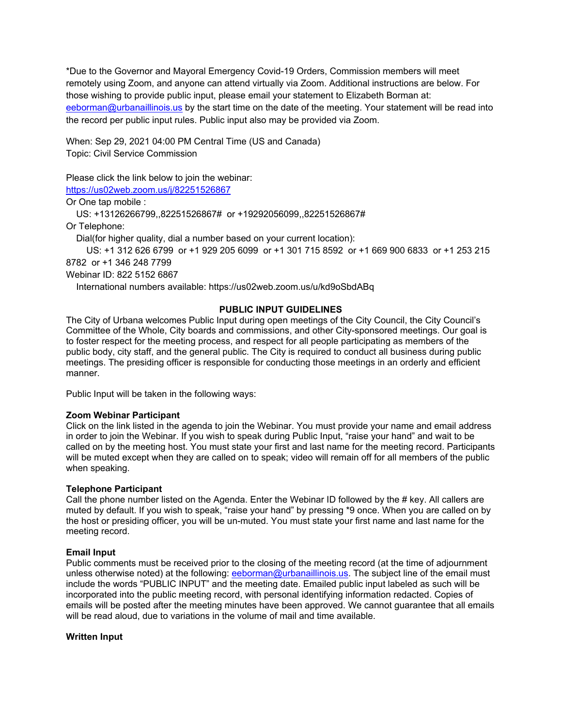\*Due to the Governor and Mayoral Emergency Covid-19 Orders, Commission members will meet remotely using Zoom, and anyone can attend virtually via Zoom. Additional instructions are below. For those wishing to provide public input, please email your statement to Elizabeth Borman at: eeborman@urbanaillinois.us by the start time on the date of the meeting. Your statement will be read into the record per public input rules. Public input also may be provided via Zoom.

When: Sep 29, 2021 04:00 PM Central Time (US and Canada) Topic: Civil Service Commission

Please click the link below to join the webinar:

https://us02web.zoom.us/j/82251526867

Or One tap mobile :

US: +13126266799,,82251526867# or +19292056099,,82251526867#

Or Telephone:

Dial(for higher quality, dial a number based on your current location):

 US: +1 312 626 6799 or +1 929 205 6099 or +1 301 715 8592 or +1 669 900 6833 or +1 253 215 8782 or +1 346 248 7799

Webinar ID: 822 5152 6867

International numbers available: https://us02web.zoom.us/u/kd9oSbdABq

## **PUBLIC INPUT GUIDELINES**

The City of Urbana welcomes Public Input during open meetings of the City Council, the City Council's Committee of the Whole, City boards and commissions, and other City-sponsored meetings. Our goal is to foster respect for the meeting process, and respect for all people participating as members of the public body, city staff, and the general public. The City is required to conduct all business during public meetings. The presiding officer is responsible for conducting those meetings in an orderly and efficient manner.

Public Input will be taken in the following ways:

#### **Zoom Webinar Participant**

Click on the link listed in the agenda to join the Webinar. You must provide your name and email address in order to join the Webinar. If you wish to speak during Public Input, "raise your hand" and wait to be called on by the meeting host. You must state your first and last name for the meeting record. Participants will be muted except when they are called on to speak; video will remain off for all members of the public when speaking.

#### **Telephone Participant**

Call the phone number listed on the Agenda. Enter the Webinar ID followed by the # key. All callers are muted by default. If you wish to speak, "raise your hand" by pressing \*9 once. When you are called on by the host or presiding officer, you will be un-muted. You must state your first name and last name for the meeting record.

## **Email Input**

Public comments must be received prior to the closing of the meeting record (at the time of adjournment unless otherwise noted) at the following: eeborman@urbanaillinois.us. The subject line of the email must include the words "PUBLIC INPUT" and the meeting date. Emailed public input labeled as such will be incorporated into the public meeting record, with personal identifying information redacted. Copies of emails will be posted after the meeting minutes have been approved. We cannot guarantee that all emails will be read aloud, due to variations in the volume of mail and time available.

#### **Written Input**